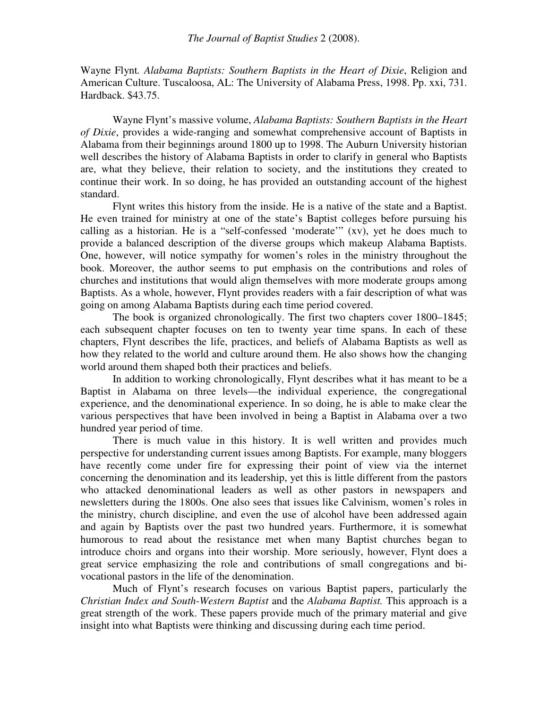Wayne Flynt*. Alabama Baptists: Southern Baptists in the Heart of Dixie*, Religion and American Culture. Tuscaloosa, AL: The University of Alabama Press, 1998. Pp. xxi, 731. Hardback. \$43.75.

Wayne Flynt's massive volume, *Alabama Baptists: Southern Baptists in the Heart of Dixie*, provides a wide-ranging and somewhat comprehensive account of Baptists in Alabama from their beginnings around 1800 up to 1998. The Auburn University historian well describes the history of Alabama Baptists in order to clarify in general who Baptists are, what they believe, their relation to society, and the institutions they created to continue their work. In so doing, he has provided an outstanding account of the highest standard.

Flynt writes this history from the inside. He is a native of the state and a Baptist. He even trained for ministry at one of the state's Baptist colleges before pursuing his calling as a historian. He is a "self-confessed 'moderate'" (xv), yet he does much to provide a balanced description of the diverse groups which makeup Alabama Baptists. One, however, will notice sympathy for women's roles in the ministry throughout the book. Moreover, the author seems to put emphasis on the contributions and roles of churches and institutions that would align themselves with more moderate groups among Baptists. As a whole, however, Flynt provides readers with a fair description of what was going on among Alabama Baptists during each time period covered.

The book is organized chronologically. The first two chapters cover 1800–1845; each subsequent chapter focuses on ten to twenty year time spans. In each of these chapters, Flynt describes the life, practices, and beliefs of Alabama Baptists as well as how they related to the world and culture around them. He also shows how the changing world around them shaped both their practices and beliefs.

In addition to working chronologically, Flynt describes what it has meant to be a Baptist in Alabama on three levels—the individual experience, the congregational experience, and the denominational experience. In so doing, he is able to make clear the various perspectives that have been involved in being a Baptist in Alabama over a two hundred year period of time.

There is much value in this history. It is well written and provides much perspective for understanding current issues among Baptists. For example, many bloggers have recently come under fire for expressing their point of view via the internet concerning the denomination and its leadership, yet this is little different from the pastors who attacked denominational leaders as well as other pastors in newspapers and newsletters during the 1800s. One also sees that issues like Calvinism, women's roles in the ministry, church discipline, and even the use of alcohol have been addressed again and again by Baptists over the past two hundred years. Furthermore, it is somewhat humorous to read about the resistance met when many Baptist churches began to introduce choirs and organs into their worship. More seriously, however, Flynt does a great service emphasizing the role and contributions of small congregations and bivocational pastors in the life of the denomination.

Much of Flynt's research focuses on various Baptist papers, particularly the *Christian Index and South-Western Baptist* and the *Alabama Baptist.* This approach is a great strength of the work. These papers provide much of the primary material and give insight into what Baptists were thinking and discussing during each time period.